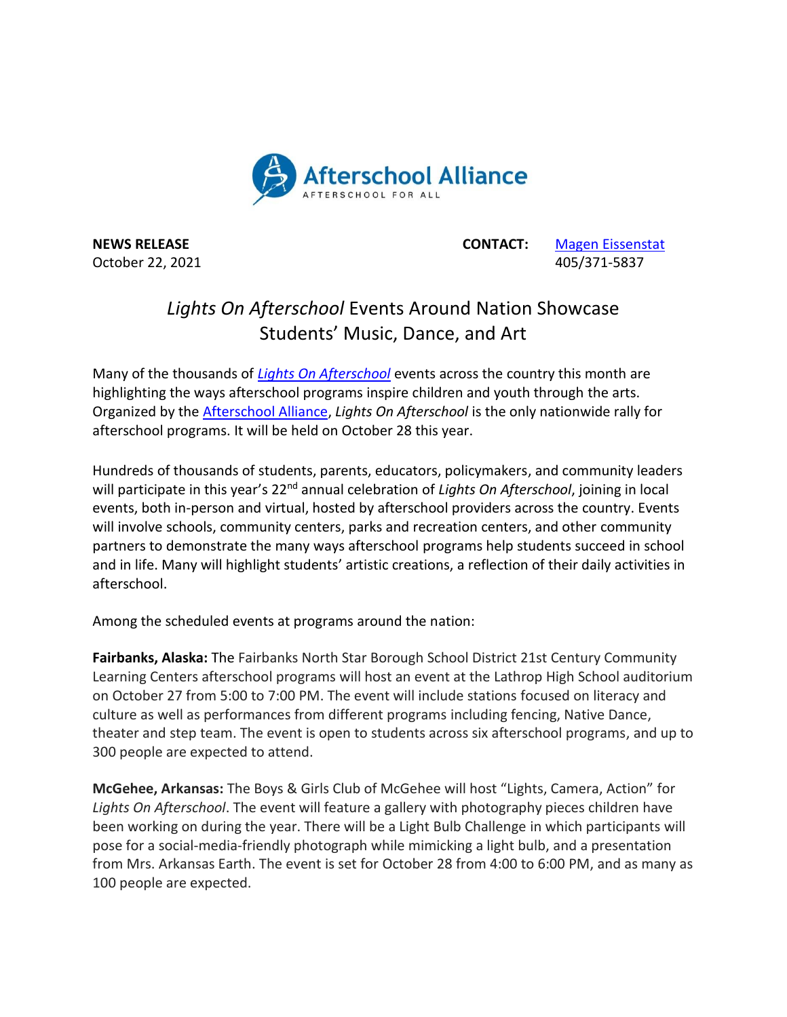

October 22, 2021 **405/371-5837** 

**NEWS RELEASE CONTACT:** [Magen Eissenstat](mailto:magen@prsolutionsdc.com)

## *Lights On Afterschool* Events Around Nation Showcase Students' Music, Dance, and Art

Many of the thousands of *[Lights On Afterschool](http://www.afterschoolalliance.org/loa.cfm)* events across the country this month are highlighting the ways afterschool programs inspire children and youth through the arts. Organized by the [Afterschool Alliance,](http://www.afterschoolalliance.org/) *Lights On Afterschool* is the only nationwide rally for afterschool programs. It will be held on October 28 this year.

Hundreds of thousands of students, parents, educators, policymakers, and community leaders will participate in this year's 22<sup>nd</sup> annual celebration of *Lights On Afterschool*, joining in local events, both in-person and virtual, hosted by afterschool providers across the country. Events will involve schools, community centers, parks and recreation centers, and other community partners to demonstrate the many ways afterschool programs help students succeed in school and in life. Many will highlight students' artistic creations, a reflection of their daily activities in afterschool.

Among the scheduled events at programs around the nation:

**Fairbanks, Alaska:** The Fairbanks North Star Borough School District 21st Century Community Learning Centers afterschool programs will host an event at the Lathrop High School auditorium on October 27 from 5:00 to 7:00 PM. The event will include stations focused on literacy and culture as well as performances from different programs including fencing, Native Dance, theater and step team. The event is open to students across six afterschool programs, and up to 300 people are expected to attend.

**McGehee, Arkansas:** The Boys & Girls Club of McGehee will host "Lights, Camera, Action" for *Lights On Afterschool*. The event will feature a gallery with photography pieces children have been working on during the year. There will be a Light Bulb Challenge in which participants will pose for a social-media-friendly photograph while mimicking a light bulb, and a presentation from Mrs. Arkansas Earth. The event is set for October 28 from 4:00 to 6:00 PM, and as many as 100 people are expected.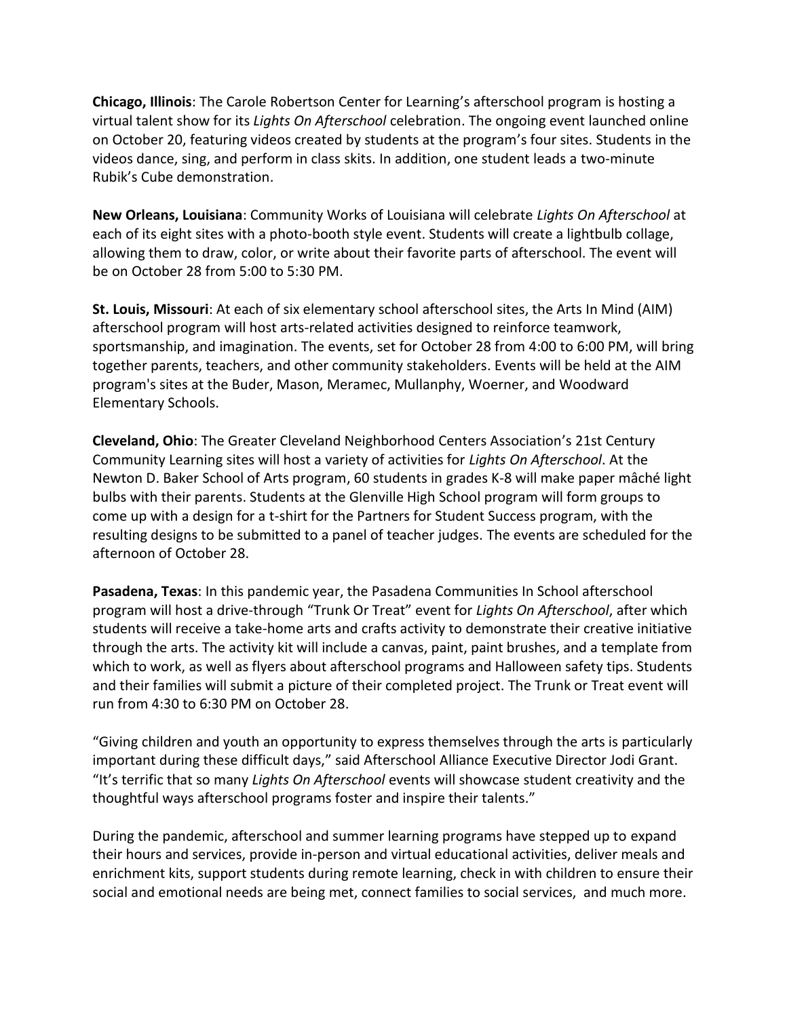**Chicago, Illinois**: The Carole Robertson Center for Learning's afterschool program is hosting a virtual talent show for its *Lights On Afterschool* celebration. The ongoing event launched online on October 20, featuring videos created by students at the program's four sites. Students in the videos dance, sing, and perform in class skits. In addition, one student leads a two-minute Rubik's Cube demonstration.

**New Orleans, Louisiana**: Community Works of Louisiana will celebrate *Lights On Afterschool* at each of its eight sites with a photo-booth style event. Students will create a lightbulb collage, allowing them to draw, color, or write about their favorite parts of afterschool. The event will be on October 28 from 5:00 to 5:30 PM.

**St. Louis, Missouri**: At each of six elementary school afterschool sites, the Arts In Mind (AIM) afterschool program will host arts-related activities designed to reinforce teamwork, sportsmanship, and imagination. The events, set for October 28 from 4:00 to 6:00 PM, will bring together parents, teachers, and other community stakeholders. Events will be held at the AIM program's sites at the Buder, Mason, Meramec, Mullanphy, Woerner, and Woodward Elementary Schools.

**Cleveland, Ohio**: The Greater Cleveland Neighborhood Centers Association's 21st Century Community Learning sites will host a variety of activities for *Lights On Afterschool*. At the Newton D. Baker School of Arts program, 60 students in grades K-8 will make paper mâché light bulbs with their parents. Students at the Glenville High School program will form groups to come up with a design for a t-shirt for the Partners for Student Success program, with the resulting designs to be submitted to a panel of teacher judges. The events are scheduled for the afternoon of October 28.

**Pasadena, Texas**: In this pandemic year, the Pasadena Communities In School afterschool program will host a drive-through "Trunk Or Treat" event for *Lights On Afterschool*, after which students will receive a take-home arts and crafts activity to demonstrate their creative initiative through the arts. The activity kit will include a canvas, paint, paint brushes, and a template from which to work, as well as flyers about afterschool programs and Halloween safety tips. Students and their families will submit a picture of their completed project. The Trunk or Treat event will run from 4:30 to 6:30 PM on October 28.

"Giving children and youth an opportunity to express themselves through the arts is particularly important during these difficult days," said Afterschool Alliance Executive Director Jodi Grant. "It's terrific that so many *Lights On Afterschool* events will showcase student creativity and the thoughtful ways afterschool programs foster and inspire their talents."

During the pandemic, afterschool and summer learning programs have stepped up to expand their hours and services, provide in-person and virtual educational activities, deliver meals and enrichment kits, support students during remote learning, check in with children to ensure their social and emotional needs are being met, connect families to social services, and much more.